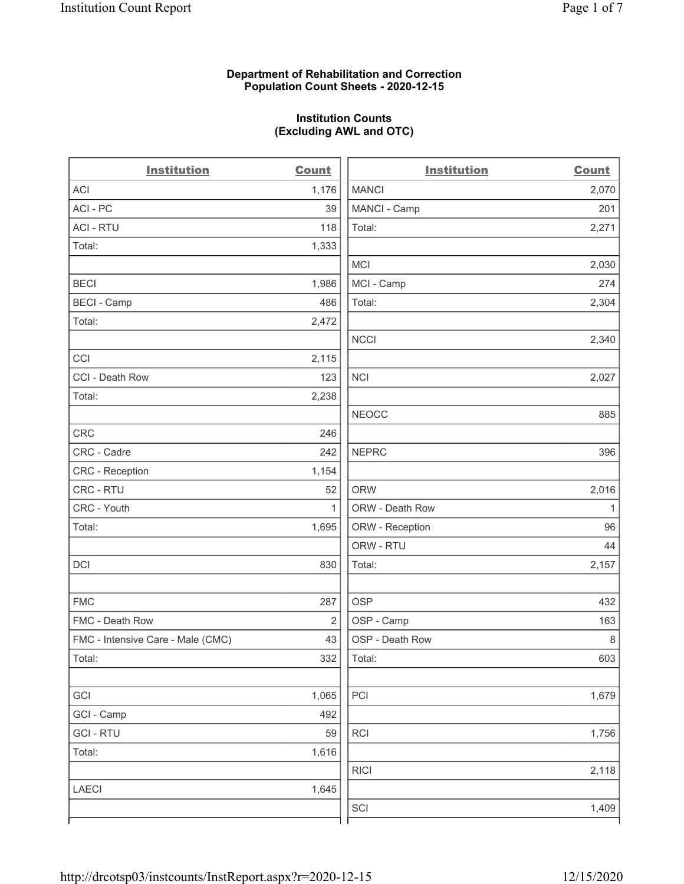### Department of Rehabilitation and Correction Population Count Sheets - 2020-12-15

### Institution Counts (Excluding AWL and OTC)

 $\overline{a}$ 

| <b>Institution</b>                | Count          | <b>Institution</b> | <b>Count</b> |
|-----------------------------------|----------------|--------------------|--------------|
| <b>ACI</b>                        | 1,176          | <b>MANCI</b>       | 2,070        |
| ACI-PC                            | 39             | MANCI - Camp       | 201          |
| <b>ACI - RTU</b>                  | 118            | Total:             | 2,271        |
| Total:                            | 1,333          |                    |              |
|                                   |                | <b>MCI</b>         | 2,030        |
| <b>BECI</b>                       | 1,986          | MCI - Camp         | 274          |
| <b>BECI - Camp</b>                | 486            | Total:             | 2,304        |
| Total:                            | 2,472          |                    |              |
|                                   |                | <b>NCCI</b>        | 2,340        |
| CCI                               | 2,115          |                    |              |
| CCI - Death Row                   | 123            | <b>NCI</b>         | 2,027        |
| Total:                            | 2,238          |                    |              |
|                                   |                | <b>NEOCC</b>       | 885          |
| <b>CRC</b>                        | 246            |                    |              |
| CRC - Cadre                       | 242            | <b>NEPRC</b>       | 396          |
| CRC - Reception                   | 1,154          |                    |              |
| CRC - RTU                         | 52             | <b>ORW</b>         | 2,016        |
| CRC - Youth                       | $\mathbf{1}$   | ORW - Death Row    | $\mathbf{1}$ |
| Total:                            | 1,695          | ORW - Reception    | 96           |
|                                   |                | ORW - RTU          | 44           |
| DCI                               | 830            | Total:             | 2,157        |
| <b>FMC</b>                        | 287            | <b>OSP</b>         | 432          |
| FMC - Death Row                   | $\overline{2}$ | OSP - Camp         | 163          |
| FMC - Intensive Care - Male (CMC) | 43             | OSP - Death Row    | $\,8\,$      |
| Total:                            | 332            | Total:             | 603          |
| GCI                               | 1,065          | PCI                | 1,679        |
| GCI - Camp                        | 492            |                    |              |
| <b>GCI-RTU</b>                    | 59             | RCI                | 1,756        |
| Total:                            | 1,616          |                    |              |
|                                   |                | <b>RICI</b>        | 2,118        |
| <b>LAECI</b>                      | 1,645          |                    |              |
|                                   |                | SCI                | 1,409        |
|                                   |                |                    |              |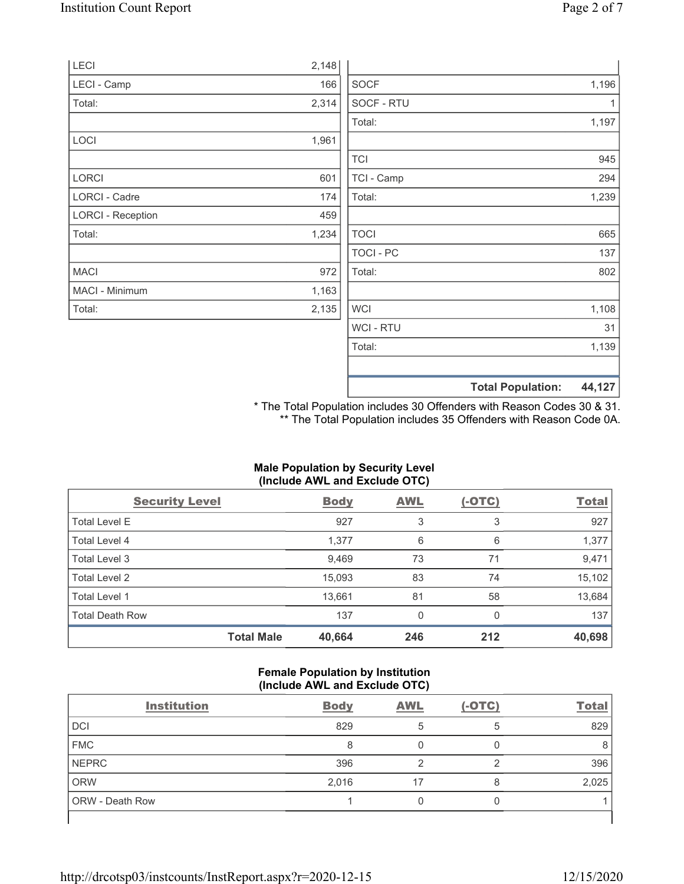|                          |       |             | <b>Total Population:</b> | 44,127 |
|--------------------------|-------|-------------|--------------------------|--------|
|                          |       |             |                          |        |
|                          |       | Total:      |                          | 1,139  |
|                          |       | WCI - RTU   |                          | 31     |
| Total:                   | 2,135 | <b>WCI</b>  |                          | 1,108  |
| MACI - Minimum           | 1,163 |             |                          |        |
| <b>MACI</b>              | 972   | Total:      |                          | 802    |
|                          |       | TOCI - PC   |                          | 137    |
| Total:                   | 1,234 | <b>TOCI</b> |                          | 665    |
| <b>LORCI - Reception</b> | 459   |             |                          |        |
| LORCI - Cadre            | 174   | Total:      |                          | 1,239  |
| <b>LORCI</b>             | 601   | TCI - Camp  |                          | 294    |
|                          |       | <b>TCI</b>  |                          | 945    |
| <b>LOCI</b>              | 1,961 |             |                          |        |
|                          |       | Total:      |                          | 1,197  |
| Total:                   | 2,314 | SOCF - RTU  |                          |        |
| LECI - Camp              | 166   | <b>SOCF</b> |                          | 1,196  |
| <b>LECI</b>              | 2,148 |             |                          |        |

\* The Total Population includes 30 Offenders with Reason Codes 30 & 31. \*\* The Total Population includes 35 Offenders with Reason Code 0A.

### Male Population by Security Level (Include AWL and Exclude OTC)

| <b>Security Level</b>  |                   | <b>Body</b> | <b>AWL</b> | $(-OTC)$ | <b>Total</b> |
|------------------------|-------------------|-------------|------------|----------|--------------|
| <b>Total Level E</b>   |                   | 927         | 3          | 3        | 927          |
| Total Level 4          |                   | 1,377       | 6          | 6        | 1,377        |
| Total Level 3          |                   | 9,469       | 73         | 71       | 9,471        |
| Total Level 2          |                   | 15,093      | 83         | 74       | 15,102       |
| Total Level 1          |                   | 13,661      | 81         | 58       | 13,684       |
| <b>Total Death Row</b> |                   | 137         | 0          | 0        | 137          |
|                        | <b>Total Male</b> | 40,664      | 246        | 212      | 40,698       |

### Female Population by Institution (Include AWL and Exclude OTC)

| <b>Institution</b> | <b>Body</b> | <b>AWL</b> | $(-OTC)$ | <b>Total</b> |
|--------------------|-------------|------------|----------|--------------|
| DCI                | 829         |            | 5        | 829          |
| <b>FMC</b>         | 8           |            |          |              |
| <b>NEPRC</b>       | 396         |            | ◠        | 396          |
| <b>ORW</b>         | 2,016       |            |          | 2,025        |
| ORW - Death Row    |             |            |          |              |
|                    |             |            |          |              |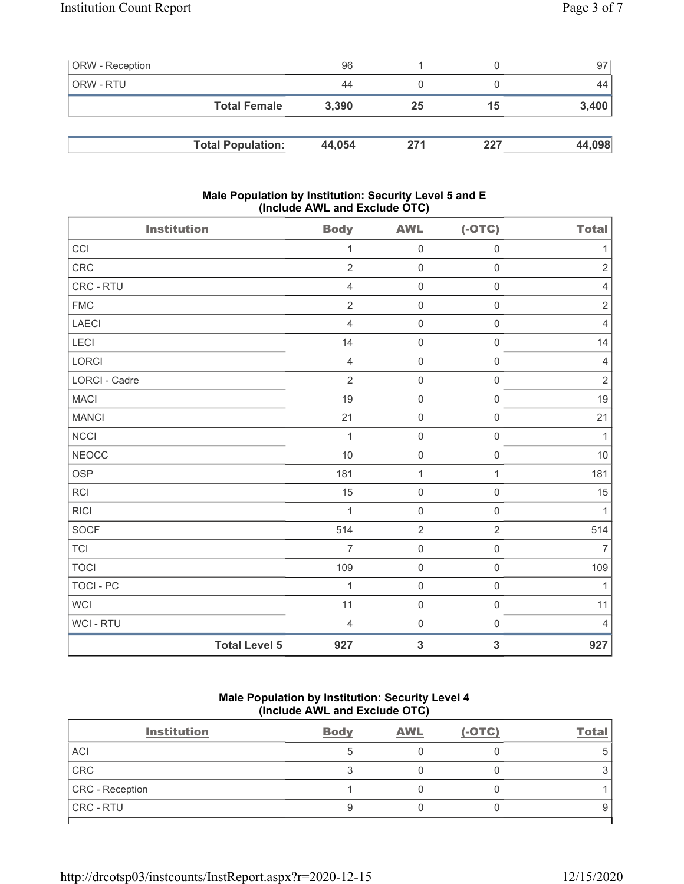| <b>ORW</b> - Reception |                          | 96     |     |     | 97     |
|------------------------|--------------------------|--------|-----|-----|--------|
| ORW - RTU              |                          | 44     |     |     | 44     |
|                        | <b>Total Female</b>      | 3,390  | 25  | 15  | 3,400  |
|                        |                          |        |     |     |        |
|                        | <b>Total Population:</b> | 44,054 | 271 | 227 | 44,098 |

### Male Population by Institution: Security Level 5 and E (Include AWL and Exclude OTC)

| <b>Institution</b> |                      | <b>Body</b>    | <b>AWL</b>          | $(-OTC)$            | <b>Total</b>   |
|--------------------|----------------------|----------------|---------------------|---------------------|----------------|
| CCI                |                      | $\mathbf{1}$   | $\mathsf 0$         | $\mathsf{O}\xspace$ | $\mathbf 1$    |
| CRC                |                      | $\overline{2}$ | $\mathbf 0$         | $\mathbf 0$         | $\overline{2}$ |
| CRC - RTU          |                      | $\overline{4}$ | $\mathsf 0$         | $\mathsf{O}\xspace$ | $\sqrt{4}$     |
| <b>FMC</b>         |                      | $\overline{2}$ | $\mathbf 0$         | $\mathsf{O}\xspace$ | $\sqrt{2}$     |
| <b>LAECI</b>       |                      | $\overline{4}$ | $\mathbf 0$         | $\mathsf{O}\xspace$ | $\overline{4}$ |
| LECI               |                      | 14             | $\mathsf{O}\xspace$ | $\mathsf{O}\xspace$ | 14             |
| LORCI              |                      | $\overline{4}$ | $\mathbf 0$         | $\mathsf{O}\xspace$ | $\overline{4}$ |
| LORCI - Cadre      |                      | $\overline{2}$ | $\mathsf 0$         | $\mathsf{O}\xspace$ | $\overline{2}$ |
| <b>MACI</b>        |                      | 19             | $\mathbf 0$         | $\mathsf{O}\xspace$ | 19             |
| <b>MANCI</b>       |                      | 21             | $\mathsf 0$         | $\mathsf{O}\xspace$ | 21             |
| NCCI               |                      | $\mathbf{1}$   | $\mathsf{O}\xspace$ | $\mathsf{O}\xspace$ | $\mathbf{1}$   |
| NEOCC              |                      | 10             | $\mathbf 0$         | $\mathsf{O}\xspace$ | 10             |
| <b>OSP</b>         |                      | 181            | $\mathbf{1}$        | $\mathbf{1}$        | 181            |
| <b>RCI</b>         |                      | 15             | $\mathbf 0$         | $\mathsf{O}\xspace$ | 15             |
| <b>RICI</b>        |                      | $\mathbf{1}$   | $\mathbf 0$         | $\mathsf{O}\xspace$ | $\mathbf{1}$   |
| <b>SOCF</b>        |                      | 514            | $\sqrt{2}$          | $\overline{2}$      | 514            |
| <b>TCI</b>         |                      | $\overline{7}$ | $\mathbf 0$         | $\mathsf{O}\xspace$ | $\overline{7}$ |
| <b>TOCI</b>        |                      | 109            | $\mathbf 0$         | $\mathsf{O}\xspace$ | 109            |
| <b>TOCI - PC</b>   |                      | 1              | $\mathbf 0$         | $\mathsf{O}\xspace$ | $\mathbf{1}$   |
| <b>WCI</b>         |                      | 11             | $\mathbf 0$         | $\mathsf{O}\xspace$ | 11             |
| WCI - RTU          |                      | $\overline{4}$ | $\mathbf 0$         | $\mathsf{O}\xspace$ | $\overline{4}$ |
|                    | <b>Total Level 5</b> | 927            | $\mathbf{3}$        | $\mathbf{3}$        | 927            |

## Male Population by Institution: Security Level 4 (Include AWL and Exclude OTC)

| <b>Institution</b> | <b>Body</b> | <b>AWL</b> | $(-OTC)$ | <b>Total</b> |
|--------------------|-------------|------------|----------|--------------|
| <b>ACI</b>         |             |            |          | 5            |
| CRC                |             |            |          |              |
| CRC - Reception    |             |            |          |              |
| <b>CRC - RTU</b>   |             |            |          | 9            |
|                    |             |            |          |              |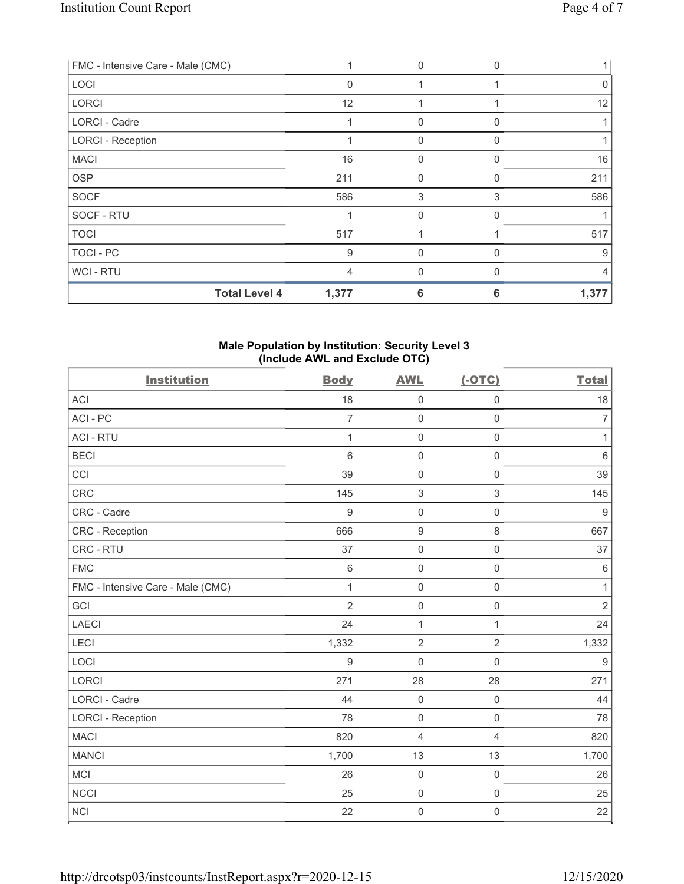| FMC - Intensive Care - Male (CMC) |          | $\mathbf{0}$ | <sup>0</sup> |       |
|-----------------------------------|----------|--------------|--------------|-------|
| LOCI                              | $\Omega$ |              |              | 0     |
| <b>LORCI</b>                      | 12       |              |              | 12    |
| LORCI - Cadre                     |          | $\mathbf{0}$ | O            |       |
| <b>LORCI - Reception</b>          |          | $\mathbf{0}$ | U            |       |
| <b>MACI</b>                       | 16       | $\mathbf{0}$ | 0            | 16    |
| <b>OSP</b>                        | 211      | $\mathbf{0}$ | 0            | 211   |
| <b>SOCF</b>                       | 586      | 3            | 3            | 586   |
| SOCF - RTU                        |          | $\mathbf 0$  |              |       |
| <b>TOCI</b>                       | 517      |              |              | 517   |
| TOCI - PC                         | 9        | $\Omega$     |              | 9     |
| WCI - RTU                         | 4        | $\mathbf{0}$ | <sup>0</sup> | 4     |
| <b>Total Level 4</b>              | 1,377    | 6            | 6            | 1,377 |

### Male Population by Institution: Security Level 3 (Include AWL and Exclude OTC)

| <b>Institution</b>                | <b>Body</b>      | <b>AWL</b>          | $(-OTC)$            | <b>Total</b>     |
|-----------------------------------|------------------|---------------------|---------------------|------------------|
| <b>ACI</b>                        | 18               | $\mathsf 0$         | $\mathsf 0$         | 18               |
| ACI-PC                            | $\overline{7}$   | $\mathsf 0$         | $\mathbf 0$         | $\overline{7}$   |
| <b>ACI - RTU</b>                  | 1                | $\mathsf{O}\xspace$ | $\mathsf 0$         | $\mathbf{1}$     |
| <b>BECI</b>                       | $6\,$            | $\mathsf 0$         | $\mathbf 0$         | $\,6\,$          |
| CCI                               | 39               | $\mathbf 0$         | $\mathsf 0$         | 39               |
| CRC                               | 145              | $\sqrt{3}$          | 3                   | 145              |
| CRC - Cadre                       | $9\,$            | $\mathsf 0$         | $\mathsf{O}\xspace$ | $\boldsymbol{9}$ |
| CRC - Reception                   | 666              | $\boldsymbol{9}$    | 8                   | 667              |
| CRC - RTU                         | 37               | $\mathsf 0$         | $\mathsf{O}\xspace$ | 37               |
| <b>FMC</b>                        | $\,6\,$          | $\mathbf 0$         | $\mathsf{O}\xspace$ | $\,6\,$          |
| FMC - Intensive Care - Male (CMC) | $\mathbf{1}$     | $\mathsf 0$         | $\mathbf 0$         | $\mathbf{1}$     |
| GCI                               | $\overline{2}$   | $\mathbf 0$         | $\mathsf 0$         | $\overline{2}$   |
| <b>LAECI</b>                      | 24               | $\mathbf{1}$        | $\mathbf{1}$        | 24               |
| LECI                              | 1,332            | $\overline{2}$      | $\overline{2}$      | 1,332            |
| LOCI                              | $\boldsymbol{9}$ | $\mathbf 0$         | $\mathbf 0$         | $9\,$            |
| LORCI                             | 271              | 28                  | 28                  | 271              |
| LORCI - Cadre                     | 44               | $\mathsf{O}\xspace$ | $\mathsf{O}\xspace$ | 44               |
| <b>LORCI - Reception</b>          | 78               | $\mathsf{O}\xspace$ | $\mathsf{O}\xspace$ | 78               |
| <b>MACI</b>                       | 820              | $\overline{4}$      | $\overline{4}$      | 820              |
| <b>MANCI</b>                      | 1,700            | 13                  | 13                  | 1,700            |
| <b>MCI</b>                        | 26               | $\mathsf{O}\xspace$ | $\mathsf{O}\xspace$ | 26               |
| <b>NCCI</b>                       | 25               | $\mathsf{O}\xspace$ | $\mathbf 0$         | 25               |
| <b>NCI</b>                        | 22               | $\mathbf 0$         | $\mathsf{O}\xspace$ | 22               |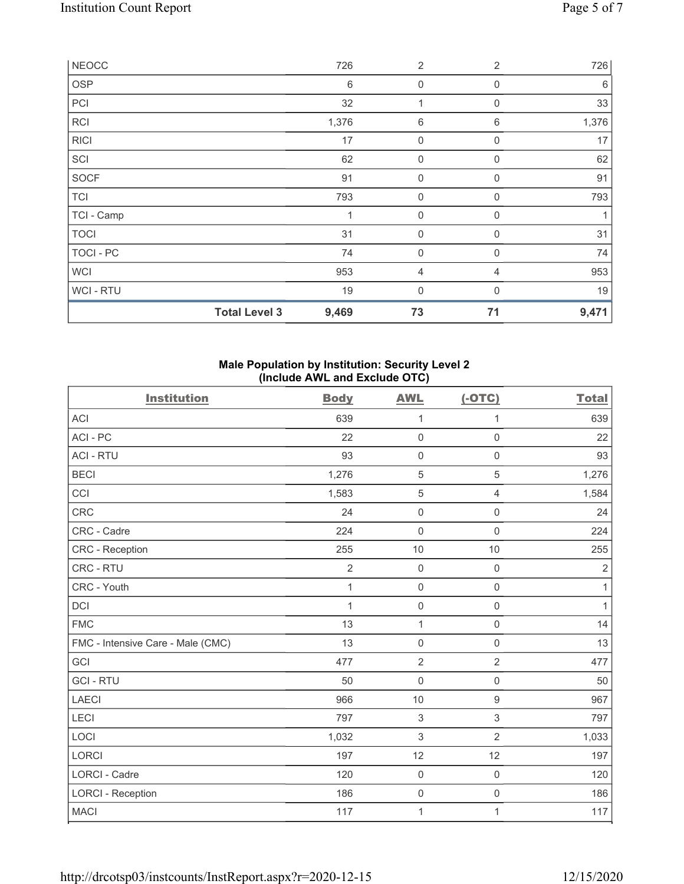| <b>NEOCC</b> |                      | 726   | $\overline{2}$   | $\overline{2}$ | 726   |
|--------------|----------------------|-------|------------------|----------------|-------|
| <b>OSP</b>   |                      | 6     | 0                | $\Omega$       | 6     |
| PCI          |                      | 32    | 1                | $\mathbf 0$    | 33    |
| <b>RCI</b>   |                      | 1,376 | 6                | 6              | 1,376 |
| <b>RICI</b>  |                      | 17    | 0                | $\mathbf 0$    | 17    |
| SCI          |                      | 62    | $\boldsymbol{0}$ | $\mathbf 0$    | 62    |
| SOCF         |                      | 91    | 0                | $\mathbf 0$    | 91    |
| <b>TCI</b>   |                      | 793   | $\mathbf 0$      | $\Omega$       | 793   |
| TCI - Camp   |                      | 1     | $\mathbf 0$      | $\mathbf 0$    |       |
| <b>TOCI</b>  |                      | 31    | 0                | $\Omega$       | 31    |
| TOCI - PC    |                      | 74    | $\mathbf 0$      | $\mathbf 0$    | 74    |
| <b>WCI</b>   |                      | 953   | 4                | $\overline{4}$ | 953   |
| WCI - RTU    |                      | 19    | 0                | $\Omega$       | 19    |
|              | <b>Total Level 3</b> | 9,469 | 73               | 71             | 9,471 |

### Male Population by Institution: Security Level 2 (Include AWL and Exclude OTC)

| <b>Institution</b>                | <b>Body</b>    | <b>AWL</b>          | $(-OTC)$            | <b>Total</b> |
|-----------------------------------|----------------|---------------------|---------------------|--------------|
| <b>ACI</b>                        | 639            | 1                   | 1                   | 639          |
| ACI - PC                          | 22             | $\mathbf 0$         | $\mathsf{O}\xspace$ | 22           |
| <b>ACI - RTU</b>                  | 93             | $\mathbf 0$         | $\mathsf{O}\xspace$ | 93           |
| <b>BECI</b>                       | 1,276          | $\sqrt{5}$          | 5                   | 1,276        |
| CCI                               | 1,583          | $\mathbf 5$         | 4                   | 1,584        |
| <b>CRC</b>                        | 24             | $\mathbf 0$         | $\mathsf{O}\xspace$ | 24           |
| CRC - Cadre                       | 224            | $\mathbf 0$         | $\mathbf 0$         | 224          |
| CRC - Reception                   | 255            | 10                  | 10                  | 255          |
| CRC - RTU                         | $\overline{c}$ | $\mathsf{O}\xspace$ | $\mathsf{O}\xspace$ | $\sqrt{2}$   |
| CRC - Youth                       | $\mathbf{1}$   | $\mathbf 0$         | $\mathbf 0$         | $\mathbf{1}$ |
| DCI                               | $\mathbf{1}$   | $\mathsf{O}\xspace$ | $\mathsf{O}\xspace$ | $\mathbf{1}$ |
| <b>FMC</b>                        | 13             | $\mathbf{1}$        | $\mathbf 0$         | 14           |
| FMC - Intensive Care - Male (CMC) | 13             | $\mathbf 0$         | $\mathbf 0$         | 13           |
| GCI                               | 477            | $\sqrt{2}$          | $\overline{2}$      | 477          |
| <b>GCI-RTU</b>                    | 50             | $\mathbf 0$         | $\mathsf{O}\xspace$ | 50           |
| <b>LAECI</b>                      | 966            | 10                  | $\boldsymbol{9}$    | 967          |
| LECI                              | 797            | $\sqrt{3}$          | $\sqrt{3}$          | 797          |
| LOCI                              | 1,032          | $\mathfrak{Z}$      | $\overline{2}$      | 1,033        |
| <b>LORCI</b>                      | 197            | 12                  | 12                  | 197          |
| <b>LORCI - Cadre</b>              | 120            | $\mathbf 0$         | $\mathsf{O}\xspace$ | 120          |
| <b>LORCI - Reception</b>          | 186            | $\mathsf{O}\xspace$ | $\mathsf{O}\xspace$ | 186          |
| <b>MACI</b>                       | 117            | 1                   | 1                   | 117          |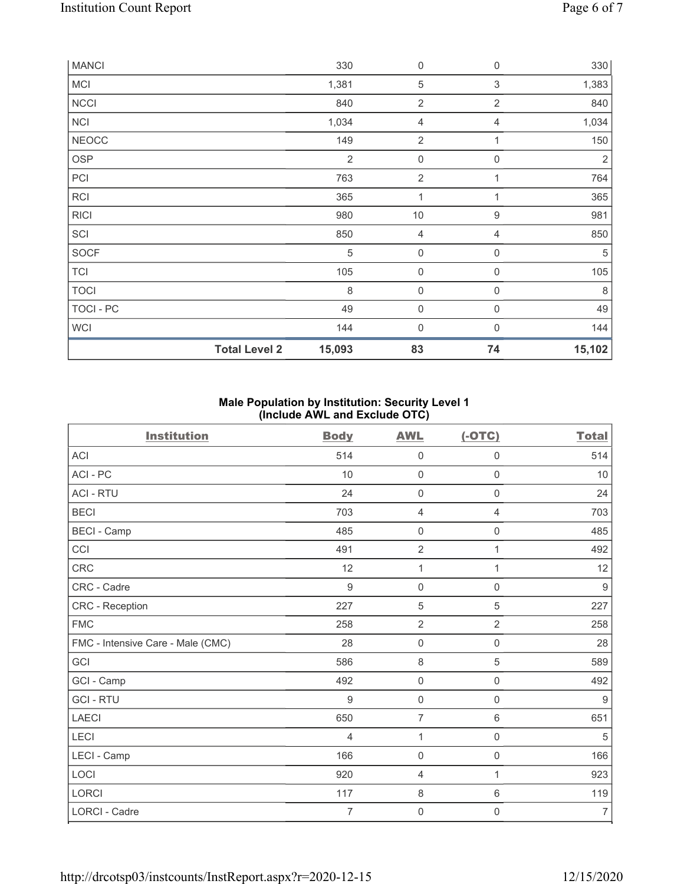| <b>MANCI</b> |                      | 330            | $\boldsymbol{0}$    | 0              | 330            |
|--------------|----------------------|----------------|---------------------|----------------|----------------|
| MCI          |                      | 1,381          | $\mathbf 5$         | 3              | 1,383          |
| <b>NCCI</b>  |                      | 840            | $\overline{2}$      | $\overline{2}$ | 840            |
| <b>NCI</b>   |                      | 1,034          | 4                   | 4              | 1,034          |
| <b>NEOCC</b> |                      | 149            | $\overline{2}$      | 1              | 150            |
| <b>OSP</b>   |                      | $\overline{2}$ | $\mathbf 0$         | 0              | $\overline{2}$ |
| PCI          |                      | 763            | $\overline{2}$      |                | 764            |
| <b>RCI</b>   |                      | 365            | 1                   | $\mathbf{1}$   | 365            |
| <b>RICI</b>  |                      | 980            | $10$                | 9              | 981            |
| SCI          |                      | 850            | 4                   | 4              | 850            |
| <b>SOCF</b>  |                      | 5              | $\mathbf 0$         | 0              | $\sqrt{5}$     |
| <b>TCI</b>   |                      | 105            | $\mathbf 0$         | $\overline{0}$ | 105            |
| <b>TOCI</b>  |                      | 8              | $\boldsymbol{0}$    | 0              | 8              |
| TOCI - PC    |                      | 49             | $\mathsf{O}\xspace$ | $\mathbf 0$    | 49             |
| <b>WCI</b>   |                      | 144            | 0                   | $\mathbf{0}$   | 144            |
|              | <b>Total Level 2</b> | 15,093         | 83                  | 74             | 15,102         |

# Male Population by Institution: Security Level 1 (Include AWL and Exclude OTC)

| <b>Institution</b>                | <b>Body</b>    | <b>AWL</b>          | $(-OTC)$            | <b>Total</b>   |
|-----------------------------------|----------------|---------------------|---------------------|----------------|
| ACI                               | 514            | $\mathbf 0$         | $\mathbf 0$         | 514            |
| ACI-PC                            | 10             | $\mathbf 0$         | $\mathsf{O}\xspace$ | 10             |
| <b>ACI - RTU</b>                  | 24             | $\mathbf 0$         | $\overline{0}$      | 24             |
| <b>BECI</b>                       | 703            | 4                   | 4                   | 703            |
| <b>BECI - Camp</b>                | 485            | $\mathbf 0$         | $\mathbf 0$         | 485            |
| CCI                               | 491            | $\overline{2}$      | 1                   | 492            |
| <b>CRC</b>                        | 12             | 1                   | 1                   | 12             |
| CRC - Cadre                       | $9\,$          | $\mathsf{O}\xspace$ | $\mathbf 0$         | $9$            |
| CRC - Reception                   | 227            | 5                   | 5                   | 227            |
| <b>FMC</b>                        | 258            | $\overline{2}$      | $\overline{2}$      | 258            |
| FMC - Intensive Care - Male (CMC) | 28             | $\mathsf{O}\xspace$ | $\mathsf{O}\xspace$ | 28             |
| GCI                               | 586            | $\,8\,$             | 5                   | 589            |
| GCI - Camp                        | 492            | $\mathsf{O}\xspace$ | $\mathsf{O}\xspace$ | 492            |
| <b>GCI-RTU</b>                    | 9              | $\mathbf 0$         | $\mathbf 0$         | 9              |
| <b>LAECI</b>                      | 650            | $\overline{7}$      | 6                   | 651            |
| LECI                              | 4              | 1                   | $\boldsymbol{0}$    | 5              |
| LECI - Camp                       | 166            | 0                   | $\mathbf 0$         | 166            |
| LOCI                              | 920            | 4                   | 1                   | 923            |
| <b>LORCI</b>                      | 117            | $\,8\,$             | $\,6\,$             | 119            |
| LORCI - Cadre                     | $\overline{7}$ | 0                   | 0                   | $\overline{7}$ |